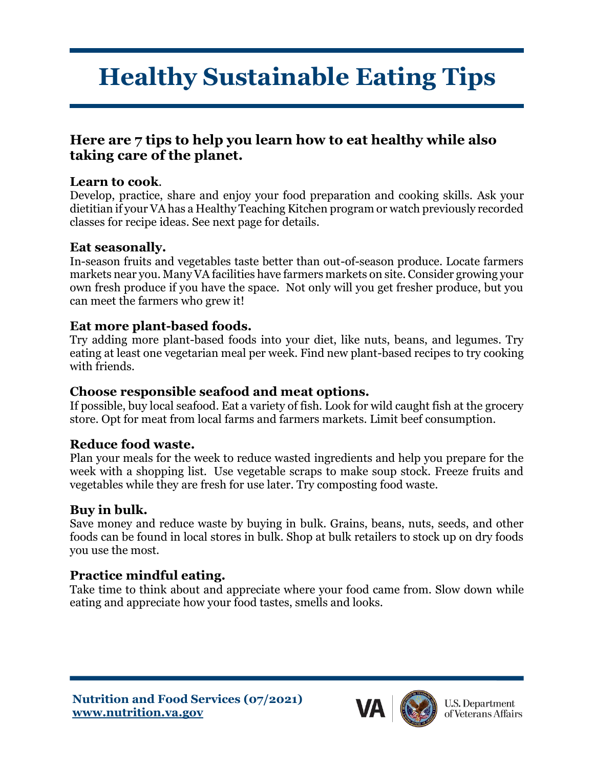# **Healthy Sustainable Eating Tips**

## **Here are 7 tips to help you learn how to eat healthy while also taking care of the planet.**

#### **Learn to cook**.

Develop, practice, share and enjoy your food preparation and cooking skills. Ask your dietitian if your VA has a Healthy Teaching Kitchen program or watch previously recorded classes for recipe ideas. See next page for details.

#### **Eat seasonally.**

In-season fruits and vegetables taste better than out-of-season produce. Locate farmers markets near you. Many VA facilities have farmers markets on site. Consider growing your own fresh produce if you have the space. Not only will you get fresher produce, but you can meet the farmers who grew it!

#### **Eat more plant-based foods.**

Try adding more plant-based foods into your diet, like nuts, beans, and legumes. Try eating at least one vegetarian meal per week. Find new plant-based recipes to try cooking with friends.

#### **Choose responsible seafood and meat options.**

If possible, buy local seafood. Eat a variety of fish. Look for wild caught fish at the grocery store. Opt for meat from local farms and farmers markets. Limit beef consumption.

#### **Reduce food waste.**

Plan your meals for the week to reduce wasted ingredients and help you prepare for the week with a shopping list. Use vegetable scraps to make soup stock. Freeze fruits and vegetables while they are fresh for use later. Try composting food waste.

#### **Buy in bulk.**

Save money and reduce waste by buying in bulk. Grains, beans, nuts, seeds, and other foods can be found in local stores in bulk. Shop at bulk retailers to stock up on dry foods you use the most.

### **Practice mindful eating.**

Take time to think about and appreciate where your food came from. Slow down while eating and appreciate how your food tastes, smells and looks.



**U.S. Department** of Veterans Affairs